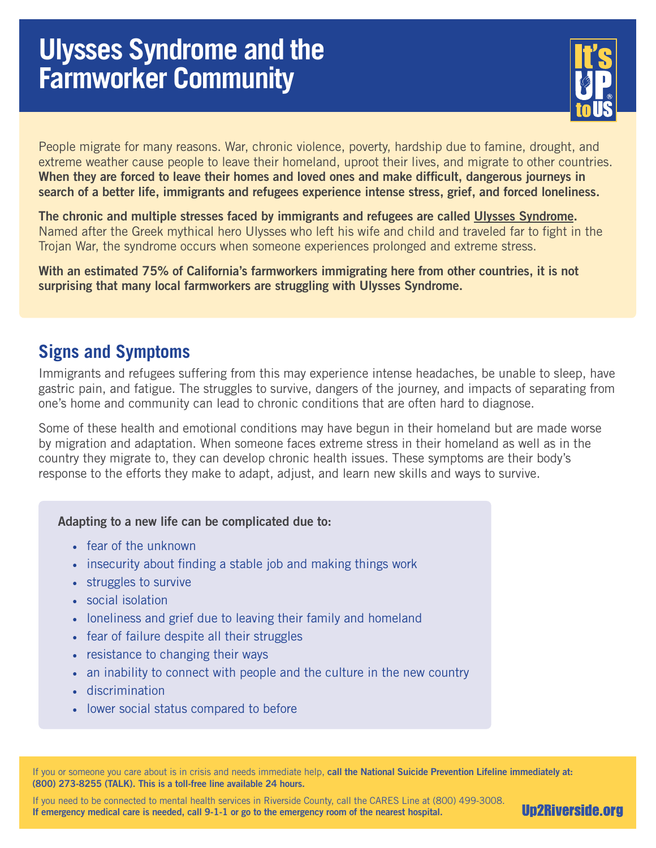# **Ulysses Syndrome and the Farmworker Community**



People migrate for many reasons. War, chronic violence, poverty, hardship due to famine, drought, and extreme weather cause people to leave their homeland, uproot their lives, and migrate to other countries. When they are forced to leave their homes and loved ones and make difficult, dangerous journeys in search of a better life, immigrants and refugees experience intense stress, grief, and forced loneliness.

The chronic and multiple stresses faced by immigrants and refugees are called [Ulysses Syndrome.](https://www.lifepersona.com/ulysses-syndrome-symptoms-causes-and-treatments) Named after the Greek mythical hero Ulysses who left his wife and child and traveled far to fight in the Trojan War, the syndrome occurs when someone experiences prolonged and extreme stress.

With an estimated 75% of California's farmworkers immigrating here from other countries, it is not surprising that many local farmworkers are struggling with Ulysses Syndrome.

## **Signs and Symptoms**

Immigrants and refugees suffering from this may experience intense headaches, be unable to sleep, have gastric pain, and fatigue. The struggles to survive, dangers of the journey, and impacts of separating from one's home and community can lead to chronic conditions that are often hard to diagnose.

Some of these health and emotional conditions may have begun in their homeland but are made worse by migration and adaptation. When someone faces extreme stress in their homeland as well as in the country they migrate to, they can develop chronic health issues. These symptoms are their body's response to the efforts they make to adapt, adjust, and learn new skills and ways to survive.

### Adapting to a new life can be complicated due to:

- fear of the unknown
- insecurity about finding a stable job and making things work
- struggles to survive
- social isolation
- loneliness and grief due to leaving their family and homeland
- fear of failure despite all their struggles
- resistance to changing their ways
- an inability to connect with people and the culture in the new country
- discrimination
- lower social status compared to before

If you or someone you care about is in crisis and needs immediate help, call the National Suicide Prevention Lifeline immediately at: (800) 273-8255 (TALK). This is a toll-free line available 24 hours.

If you need to be connected to mental health services in Riverside County, call the CARES Line at (800) 499-3008. If emergency medical care is needed, call 9-1-1 or go to the emergency room of the nearest hospital.